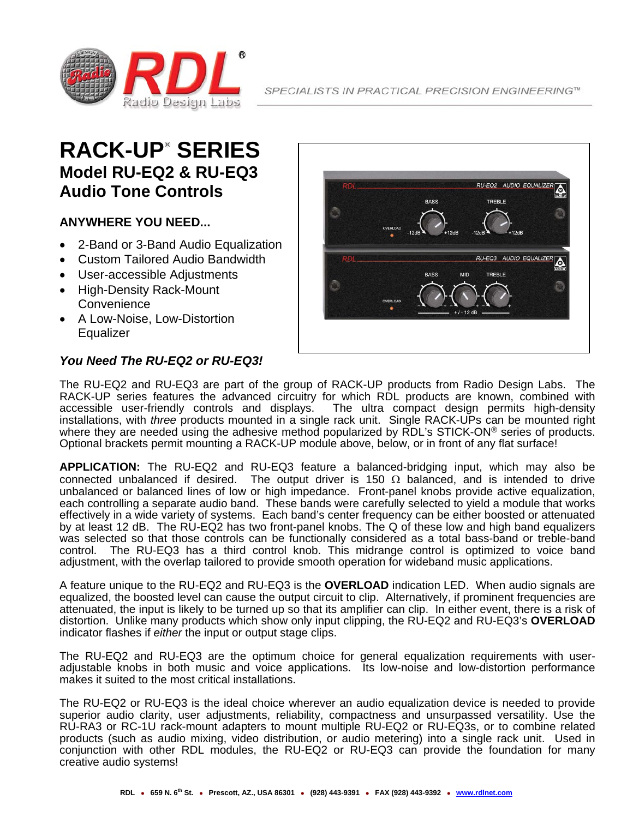

## **RACK-UP**®  **SERIES Model RU-EQ2 & RU-EQ3 Audio Tone Controls**

#### **ANYWHERE YOU NEED...**

- 2-Band or 3-Band Audio Equalization
- Custom Tailored Audio Bandwidth
- User-accessible Adjustments
- High-Density Rack-Mount **Convenience**
- A Low-Noise, Low-Distortion **Equalizer**

#### *You Need The RU-EQ2 or RU-EQ3!*



The RU-EQ2 and RU-EQ3 are part of the group of RACK-UP products from Radio Design Labs. The RACK-UP series features the advanced circuitry for which RDL products are known, combined with accessible user-friendly controls and displays. The ultra compact design permits high-density installations, with *three* products mounted in a single rack unit. Single RACK-UPs can be mounted right where they are needed using the adhesive method popularized by RDL's STICK-ON<sup>®</sup> series of products. Optional brackets permit mounting a RACK-UP module above, below, or in front of any flat surface!

**APPLICATION:** The RU-EQ2 and RU-EQ3 feature a balanced-bridging input, which may also be connected unbalanced if desired. The output driver is 150  $\Omega$  balanced, and is intended to drive unbalanced or balanced lines of low or high impedance. Front-panel knobs provide active equalization, each controlling a separate audio band. These bands were carefully selected to yield a module that works effectively in a wide variety of systems. Each band's center frequency can be either boosted or attenuated by at least 12 dB. The RU-EQ2 has two front-panel knobs. The Q of these low and high band equalizers was selected so that those controls can be functionally considered as a total bass-band or treble-band control. The RU-EQ3 has a third control knob. This midrange control is optimized to voice band adjustment, with the overlap tailored to provide smooth operation for wideband music applications.

A feature unique to the RU-EQ2 and RU-EQ3 is the **OVERLOAD** indication LED. When audio signals are equalized, the boosted level can cause the output circuit to clip. Alternatively, if prominent frequencies are attenuated, the input is likely to be turned up so that its amplifier can clip. In either event, there is a risk of distortion. Unlike many products which show only input clipping, the RU-EQ2 and RU-EQ3's **OVERLOAD** indicator flashes if *either* the input or output stage clips.

The RU-EQ2 and RU-EQ3 are the optimum choice for general equalization requirements with useradjustable knobs in both music and voice applications. Its low-noise and low-distortion performance makes it suited to the most critical installations.

The RU-EQ2 or RU-EQ3 is the ideal choice wherever an audio equalization device is needed to provide superior audio clarity, user adjustments, reliability, compactness and unsurpassed versatility. Use the RU-RA3 or RC-1U rack-mount adapters to mount multiple RU-EQ2 or RU-EQ3s, or to combine related products (such as audio mixing, video distribution, or audio metering) into a single rack unit. Used in conjunction with other RDL modules, the RU-EQ2 or RU-EQ3 can provide the foundation for many creative audio systems!